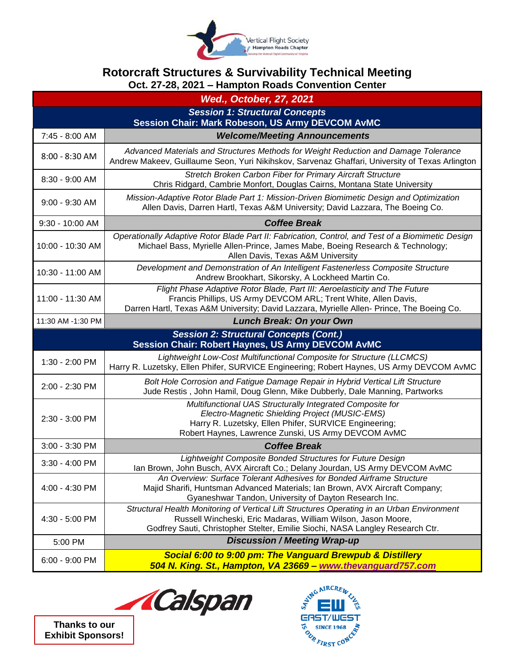

## **Rotorcraft Structures & Survivability Technical Meeting Oct. 27-28, 2021 – Hampton Roads Convention Center**

| <b>Wed., October, 27, 2021</b>                                                                            |                                                                                                                                                                                                                                              |  |
|-----------------------------------------------------------------------------------------------------------|----------------------------------------------------------------------------------------------------------------------------------------------------------------------------------------------------------------------------------------------|--|
| <b>Session 1: Structural Concepts</b>                                                                     |                                                                                                                                                                                                                                              |  |
| 7:45 - 8:00 AM                                                                                            | <b>Session Chair: Mark Robeson, US Army DEVCOM AvMC</b><br><b>Welcome/Meeting Announcements</b>                                                                                                                                              |  |
| 8:00 - 8:30 AM                                                                                            | Advanced Materials and Structures Methods for Weight Reduction and Damage Tolerance<br>Andrew Makeev, Guillaume Seon, Yuri Nikihskov, Sarvenaz Ghaffari, University of Texas Arlington                                                       |  |
| 8:30 - 9:00 AM                                                                                            | Stretch Broken Carbon Fiber for Primary Aircraft Structure<br>Chris Ridgard, Cambrie Monfort, Douglas Cairns, Montana State University                                                                                                       |  |
| $9:00 - 9:30$ AM                                                                                          | Mission-Adaptive Rotor Blade Part 1: Mission-Driven Biomimetic Design and Optimization<br>Allen Davis, Darren Hartl, Texas A&M University; David Lazzara, The Boeing Co.                                                                     |  |
| 9:30 - 10:00 AM                                                                                           | <b>Coffee Break</b>                                                                                                                                                                                                                          |  |
| 10:00 - 10:30 AM                                                                                          | Operationally Adaptive Rotor Blade Part II: Fabrication, Control, and Test of a Biomimetic Design<br>Michael Bass, Myrielle Allen-Prince, James Mabe, Boeing Research & Technology;<br>Allen Davis, Texas A&M University                     |  |
| 10:30 - 11:00 AM                                                                                          | Development and Demonstration of An Intelligent Fastenerless Composite Structure<br>Andrew Brookhart, Sikorsky, A Lockheed Martin Co.                                                                                                        |  |
| 11:00 - 11:30 AM                                                                                          | Flight Phase Adaptive Rotor Blade, Part III: Aeroelasticity and The Future<br>Francis Phillips, US Army DEVCOM ARL; Trent White, Allen Davis,<br>Darren Hartl, Texas A&M University; David Lazzara, Myrielle Allen- Prince, The Boeing Co.   |  |
| 11:30 AM -1:30 PM                                                                                         | <b>Lunch Break: On your Own</b>                                                                                                                                                                                                              |  |
| <b>Session 2: Structural Concepts (Cont.)</b><br><b>Session Chair: Robert Haynes, US Army DEVCOM AvMC</b> |                                                                                                                                                                                                                                              |  |
| 1:30 - 2:00 PM                                                                                            | Lightweight Low-Cost Multifunctional Composite for Structure (LLCMCS)<br>Harry R. Luzetsky, Ellen Phifer, SURVICE Engineering; Robert Haynes, US Army DEVCOM AvMC                                                                            |  |
| 2:00 - 2:30 PM                                                                                            | Bolt Hole Corrosion and Fatigue Damage Repair in Hybrid Vertical Lift Structure<br>Jude Restis, John Hamil, Doug Glenn, Mike Dubberly, Dale Manning, Partworks                                                                               |  |
| 2:30 - 3:00 PM                                                                                            | Multifunctional UAS Structurally Integrated Composite for<br>Electro-Magnetic Shielding Project (MUSIC-EMS)<br>Harry R. Luzetsky, Ellen Phifer, SURVICE Engineering;<br>Robert Haynes, Lawrence Zunski, US Army DEVCOM AvMC                  |  |
| 3:00 - 3:30 PM                                                                                            | <b>Coffee Break</b>                                                                                                                                                                                                                          |  |
| 3:30 - 4:00 PM                                                                                            | Lightweight Composite Bonded Structures for Future Design<br>Ian Brown, John Busch, AVX Aircraft Co.; Delany Jourdan, US Army DEVCOM AvMC                                                                                                    |  |
| 4:00 - 4:30 PM                                                                                            | An Overview: Surface Tolerant Adhesives for Bonded Airframe Structure<br>Majid Sharifi, Huntsman Advanced Materials; Ian Brown, AVX Aircraft Company;<br>Gyaneshwar Tandon, University of Dayton Research Inc.                               |  |
| 4:30 - 5:00 PM                                                                                            | Structural Health Monitoring of Vertical Lift Structures Operating in an Urban Environment<br>Russell Wincheski, Eric Madaras, William Wilson, Jason Moore,<br>Godfrey Sauti, Christopher Stelter, Emilie Siochi, NASA Langley Research Ctr. |  |
| 5:00 PM                                                                                                   | <b>Discussion / Meeting Wrap-up</b>                                                                                                                                                                                                          |  |
| 6:00 - 9:00 PM                                                                                            | Social 6:00 to 9:00 pm: The Vanguard Brewpub & Distillery<br>504 N. King. St., Hampton, VA 23669 - www.thevanguard757.com                                                                                                                    |  |